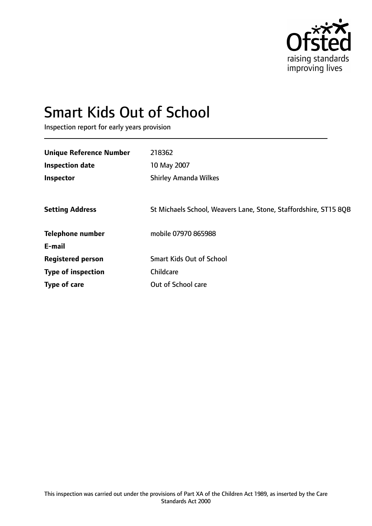

# Smart Kids Out of School

Inspection report for early years provision

| 218362                                                           |
|------------------------------------------------------------------|
| 10 May 2007                                                      |
| <b>Shirley Amanda Wilkes</b>                                     |
|                                                                  |
| St Michaels School, Weavers Lane, Stone, Staffordshire, ST15 8QB |
| mobile 07970 865988                                              |
|                                                                  |
| <b>Smart Kids Out of School</b>                                  |
| Childcare                                                        |
| Out of School care                                               |
|                                                                  |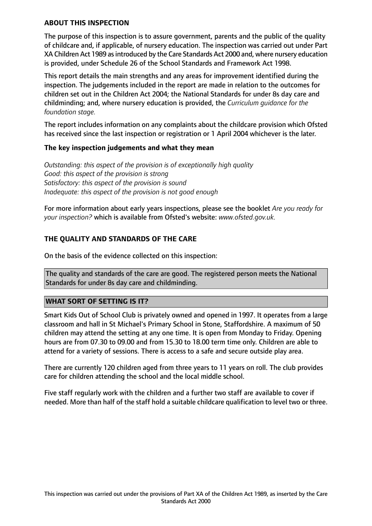#### **ABOUT THIS INSPECTION**

The purpose of this inspection is to assure government, parents and the public of the quality of childcare and, if applicable, of nursery education. The inspection was carried out under Part XA Children Act 1989 as introduced by the Care Standards Act 2000 and, where nursery education is provided, under Schedule 26 of the School Standards and Framework Act 1998.

This report details the main strengths and any areas for improvement identified during the inspection. The judgements included in the report are made in relation to the outcomes for children set out in the Children Act 2004; the National Standards for under 8s day care and childminding; and, where nursery education is provided, the *Curriculum guidance for the foundation stage.*

The report includes information on any complaints about the childcare provision which Ofsted has received since the last inspection or registration or 1 April 2004 whichever is the later.

#### **The key inspection judgements and what they mean**

*Outstanding: this aspect of the provision is of exceptionally high quality Good: this aspect of the provision is strong Satisfactory: this aspect of the provision is sound Inadequate: this aspect of the provision is not good enough*

For more information about early years inspections, please see the booklet *Are you ready for your inspection?* which is available from Ofsted's website: *www.ofsted.gov.uk.*

#### **THE QUALITY AND STANDARDS OF THE CARE**

On the basis of the evidence collected on this inspection:

The quality and standards of the care are good. The registered person meets the National Standards for under 8s day care and childminding.

#### **WHAT SORT OF SETTING IS IT?**

Smart Kids Out of School Club is privately owned and opened in 1997. It operates from a large classroom and hall in St Michael's Primary School in Stone, Staffordshire. A maximum of 50 children may attend the setting at any one time. It is open from Monday to Friday. Opening hours are from 07.30 to 09.00 and from 15.30 to 18.00 term time only. Children are able to attend for a variety of sessions. There is access to a safe and secure outside play area.

There are currently 120 children aged from three years to 11 years on roll. The club provides care for children attending the school and the local middle school.

Five staff regularly work with the children and a further two staff are available to cover if needed. More than half of the staff hold a suitable childcare qualification to level two or three.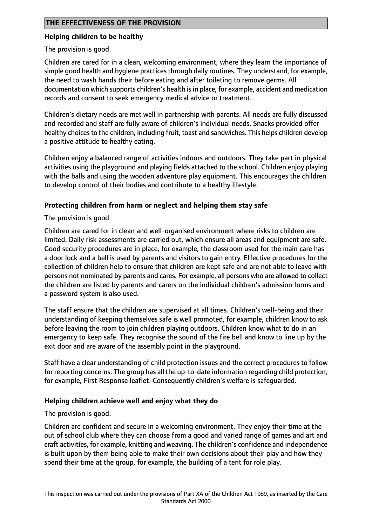#### **THE EFFECTIVENESS OF THE PROVISION**

#### **Helping children to be healthy**

The provision is good.

Children are cared for in a clean, welcoming environment, where they learn the importance of simple good health and hygiene practices through daily routines. They understand, for example, the need to wash hands their before eating and after toileting to remove germs. All documentation which supports children's health is in place, for example, accident and medication records and consent to seek emergency medical advice or treatment.

Children's dietary needs are met well in partnership with parents. All needs are fully discussed and recorded and staff are fully aware of children's individual needs. Snacks provided offer healthy choices to the children, including fruit, toast and sandwiches. This helps children develop a positive attitude to healthy eating.

Children enjoy a balanced range of activities indoors and outdoors. They take part in physical activities using the playground and playing fields attached to the school. Children enjoy playing with the balls and using the wooden adventure play equipment. This encourages the children to develop control of their bodies and contribute to a healthy lifestyle.

#### **Protecting children from harm or neglect and helping them stay safe**

The provision is good.

Children are cared for in clean and well-organised environment where risks to children are limited. Daily risk assessments are carried out, which ensure all areas and equipment are safe. Good security procedures are in place, for example, the classroom used for the main care has a door lock and a bell is used by parents and visitors to gain entry. Effective procedures for the collection of children help to ensure that children are kept safe and are not able to leave with persons not nominated by parents and cares. For example, all persons who are allowed to collect the children are listed by parents and carers on the individual children's admission forms and a password system is also used.

The staff ensure that the children are supervised at all times. Children's well-being and their understanding of keeping themselves safe is well promoted, for example, children know to ask before leaving the room to join children playing outdoors. Children know what to do in an emergency to keep safe. They recognise the sound of the fire bell and know to line up by the exit door and are aware of the assembly point in the playground.

Staff have a clear understanding of child protection issues and the correct procedures to follow for reporting concerns. The group has all the up-to-date information regarding child protection, for example, First Response leaflet. Consequently children's welfare is safeguarded.

#### **Helping children achieve well and enjoy what they do**

The provision is good.

Children are confident and secure in a welcoming environment. They enjoy their time at the out of school club where they can choose from a good and varied range of games and art and craft activities, for example, knitting and weaving. The children's confidence and independence is built upon by them being able to make their own decisions about their play and how they spend their time at the group, for example, the building of a tent for role play.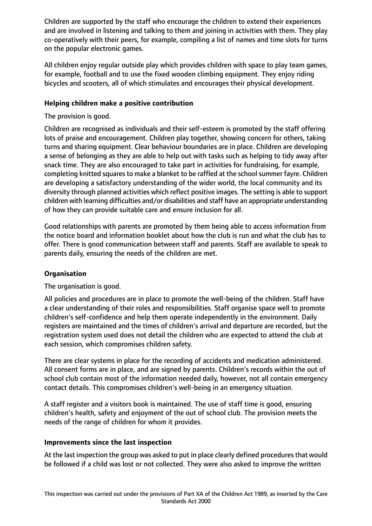Children are supported by the staff who encourage the children to extend their experiences and are involved in listening and talking to them and joining in activities with them. They play co-operatively with their peers, for example, compiling a list of names and time slots for turns on the popular electronic games.

All children enjoy regular outside play which provides children with space to play team games, for example, football and to use the fixed wooden climbing equipment. They enjoy riding bicycles and scooters, all of which stimulates and encourages their physical development.

## **Helping children make a positive contribution**

The provision is good.

Children are recognised as individuals and their self-esteem is promoted by the staff offering lots of praise and encouragement. Children play together, showing concern for others, taking turns and sharing equipment. Clear behaviour boundaries are in place. Children are developing a sense of belonging as they are able to help out with tasks such as helping to tidy away after snack time. They are also encouraged to take part in activities for fundraising, for example, completing knitted squares to make a blanket to be raffled at the school summer fayre. Children are developing a satisfactory understanding of the wider world, the local community and its diversity through planned activities which reflect positive images. The setting is able to support children with learning difficulties and/or disabilities and staff have an appropriate understanding of how they can provide suitable care and ensure inclusion for all.

Good relationships with parents are promoted by them being able to access information from the notice board and information booklet about how the club is run and what the club has to offer. There is good communication between staff and parents. Staff are available to speak to parents daily, ensuring the needs of the children are met.

# **Organisation**

The organisation is good.

All policies and procedures are in place to promote the well-being of the children. Staff have a clear understanding of their roles and responsibilities. Staff organise space well to promote children's self-confidence and help them operate independently in the environment. Daily registers are maintained and the times of children's arrival and departure are recorded, but the registration system used does not detail the children who are expected to attend the club at each session, which compromises children safety.

There are clear systems in place for the recording of accidents and medication administered. All consent forms are in place, and are signed by parents. Children's records within the out of school club contain most of the information needed daily, however, not all contain emergency contact details. This compromises children's well-being in an emergency situation.

A staff register and a visitors book is maintained. The use of staff time is good, ensuring children's health, safety and enjoyment of the out of school club. The provision meets the needs of the range of children for whom it provides.

### **Improvements since the last inspection**

At the last inspection the group was asked to put in place clearly defined proceduresthat would be followed if a child was lost or not collected. They were also asked to improve the written